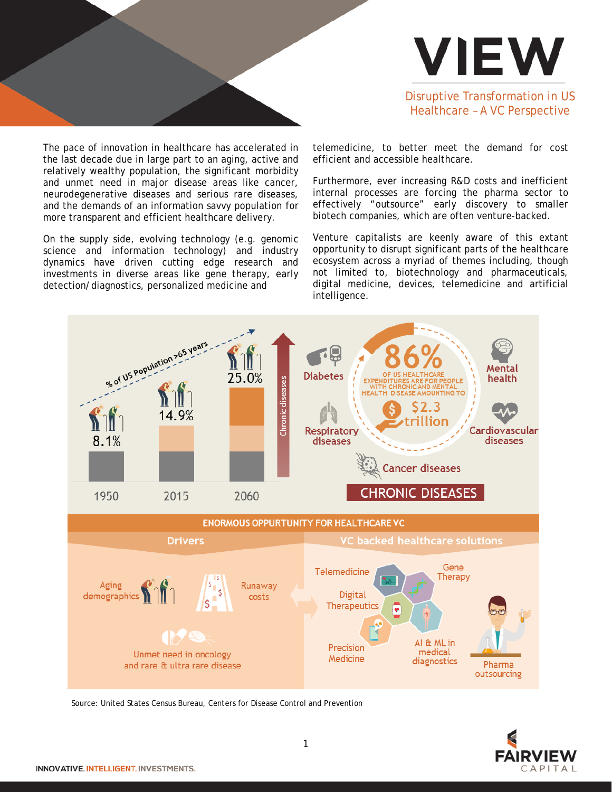

The pace of innovation in healthcare has accelerated in the last decade due in large part to an aging, active and relatively wealthy population, the significant morbidity and unmet need in major disease areas like cancer, neurodegenerative diseases and serious rare diseases, and the demands of an information savvy population for more transparent and efficient healthcare delivery.

On the supply side, evolving technology (e.g. genomic science and information technology) and industry dynamics have driven cutting edge research and investments in diverse areas like gene therapy, early detection/diagnostics, personalized medicine and



telemedicine, to better meet the demand for cost efficient and accessible healthcare.

Furthermore, ever increasing R&D costs and inefficient internal processes are forcing the pharma sector to effectively "outsource" early discovery to smaller biotech companies, which are often venture-backed.

Venture capitalists are keenly aware of this extant opportunity to disrupt significant parts of the healthcare ecosystem across a myriad of themes including, though not limited to, biotechnology and pharmaceuticals, digital medicine, devices, telemedicine and artificial intelligence.



Source: United States Census Bureau, Centers for Disease Control and Prevention

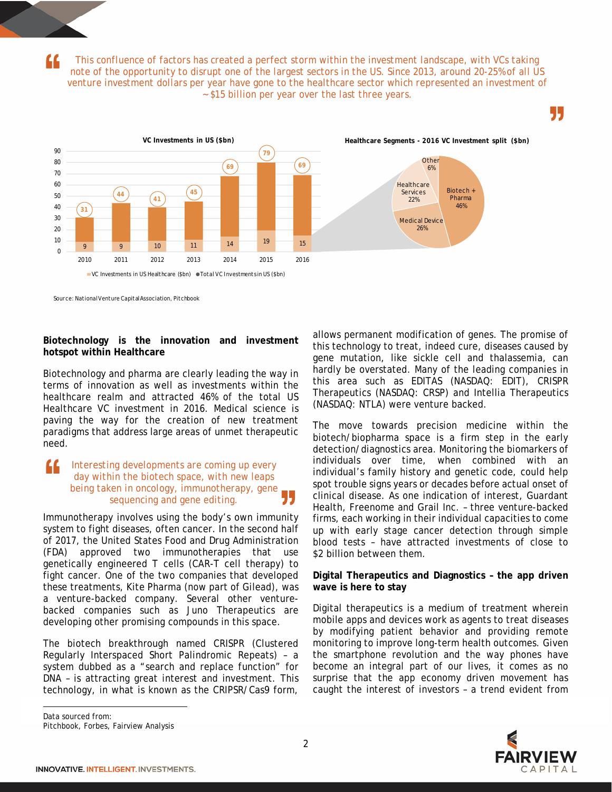*This confluence of factors has created a perfect storm within the investment landscape, with VCs taking note of the opportunity to disrupt one of the largest sectors in the US. Since 2013, around 20-25% of all US venture investment dollars per year have gone to the healthcare sector which represented an investment of ~ \$15 billion per year over the last three years.*





Source: NationalVenture CapitalAssociation, Pitchbook

#### **Biotechnology is the innovation and investment hotspot within Healthcare**

Biotechnology and pharma are clearly leading the way in terms of innovation as well as investments within the healthcare realm and attracted 46% of the total US Healthcare VC investment in 2016. Medical science is paving the way for the creation of new treatment paradigms that address large areas of unmet therapeutic need.

### *Interesting developments are coming up every day within the biotech space, with new leaps being taken in oncology, immunotherapy, gene sequencing and gene editing.*

Immunotherapy involves using the body's own immunity system to fight diseases, often cancer. In the second half of 2017, the United States Food and Drug Administration (FDA) approved two immunotherapies that use genetically engineered T cells (CAR-T cell therapy) to fight cancer. One of the two companies that developed these treatments, Kite Pharma (now part of Gilead), was a venture-backed company. Several other venturebacked companies such as Juno Therapeutics are developing other promising compounds in this space.

The biotech breakthrough named CRISPR (Clustered Regularly Interspaced Short Palindromic Repeats) – a system dubbed as a "search and replace function" for DNA – is attracting great interest and investment. This technology, in what is known as the CRIPSR/Cas9 form, allows permanent modification of genes. The promise of this technology to treat, indeed cure, diseases caused by gene mutation, like sickle cell and thalassemia, can hardly be overstated. Many of the leading companies in this area such as EDITAS (NASDAQ: EDIT), CRISPR Therapeutics (NASDAQ: CRSP) and Intellia Therapeutics (NASDAQ: NTLA) were venture backed.

The move towards precision medicine within the biotech/biopharma space is a firm step in the early detection/diagnostics area. Monitoring the biomarkers of individuals over time, when combined with an individual's family history and genetic code, could help spot trouble signs years or decades before actual onset of clinical disease. As one indication of interest, Guardant Health, Freenome and Grail Inc. – three venture-backed firms, each working in their individual capacities to come up with early stage cancer detection through simple blood tests – have attracted investments of close to \$2 billion between them.

### **Digital Therapeutics and Diagnostics – the app driven wave is here to stay[1](#page-1-0)**

Digital therapeutics is a medium of treatment wherein mobile apps and devices work as agents to treat diseases by modifying patient behavior and providing remote monitoring to improve long-term health outcomes. Given the smartphone revolution and the way phones have become an integral part of our lives, it comes as no surprise that the app economy driven movement has caught the interest of investors – a trend evident from

<span id="page-1-0"></span>Data sourced from:

l

Pitchbook, Forbes, Fairview Analysis

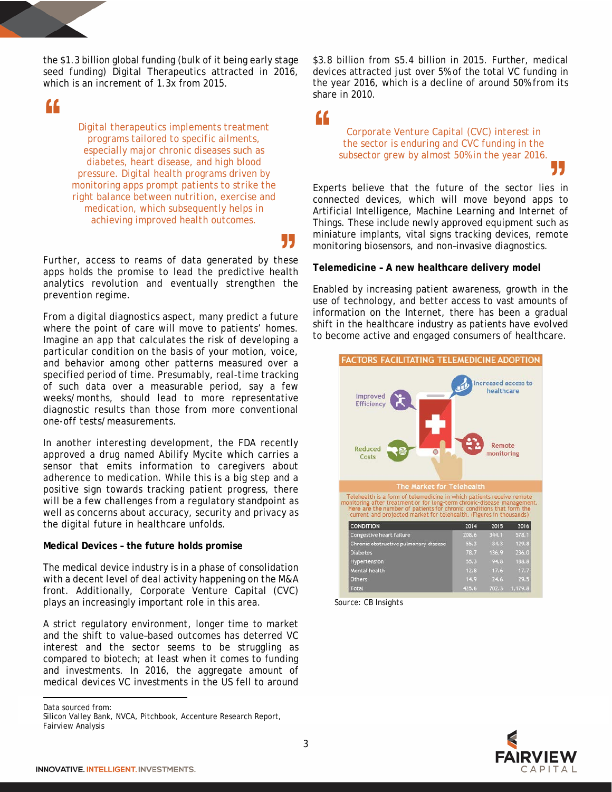the \$1.3 billion global funding (bulk of it being early stage seed funding) Digital Therapeutics attracted in 2016, which is an increment of 1.3x from 2015.

"

*Digital therapeutics implements treatment programs tailored to specific ailments, especially major chronic diseases such as diabetes, heart disease, and high blood pressure. Digital health programs driven by monitoring apps prompt patients to strike the right balance between nutrition, exercise and medication, which subsequently helps in achieving improved health outcomes.*

Further, access to reams of data generated by these apps holds the promise to lead the predictive health analytics revolution and eventually strengthen the prevention regime.

From a digital diagnostics aspect, many predict a future where the point of care will move to patients' homes. Imagine an app that calculates the risk of developing a particular condition on the basis of your motion, voice, and behavior among other patterns measured over a specified period of time. Presumably, real-time tracking of such data over a measurable period, say a few weeks/months, should lead to more representative diagnostic results than those from more conventional one-off tests/measurements.

In another interesting development, the FDA recently approved a drug named Abilify Mycite which carries a sensor that emits information to caregivers about adherence to medication. While this is a big step and a positive sign towards tracking patient progress, there will be a few challenges from a regulatory standpoint as well as concerns about accuracy, security and privacy as the digital future in healthcare unfolds.

# **Medical Devices – the future holds promise**

The medical device industry is in a phase of consolidation with a decent level of deal activity happening on the M&A front. Additionally, Corporate Venture Capital (CVC) plays an increasingly important role in this area.

A strict regulatory environment, longer time to market and the shift to value–based outcomes has deterred VC interest and the sector seems to be struggling as compared to biotech; at least when it comes to funding and investments. In 2016, the aggregate amount of medical devices VC investments in the US fell to around

<span id="page-2-0"></span>Data sourced from:

 $\overline{a}$ 

\$3.8 billion from \$5.4 billion in 2015. Further, medical devices attracted just over 5% of the total VC funding in the year 2016, which is a decline of around 50% from its share in 2010.

"

55

*Corporate Venture Capital (CVC) interest in the sector is enduring and CVC funding in the subsector grew by almost 50% in the year 2016.*

Experts believe that the future of the sector lies in connected devices, which will move beyond apps to Artificial Intelligence, Machine Learning and Internet of Things. These include newly approved equipment such as miniature implants, vital signs tracking devices, remote monitoring biosensors, and non–invasive diagnostics.

## **Telemedicine – A new healthcare delivery model[2](#page-2-0)**

Enabled by increasing patient awareness, growth in the use of technology, and better access to vast amounts of information on the Internet, there has been a gradual shift in the healthcare industry as patients have evolved to become active and engaged consumers of healthcare.



 *Source: CB Insights*



Silicon Valley Bank, NVCA, Pitchbook, Accenture Research Report, Fairview Analysis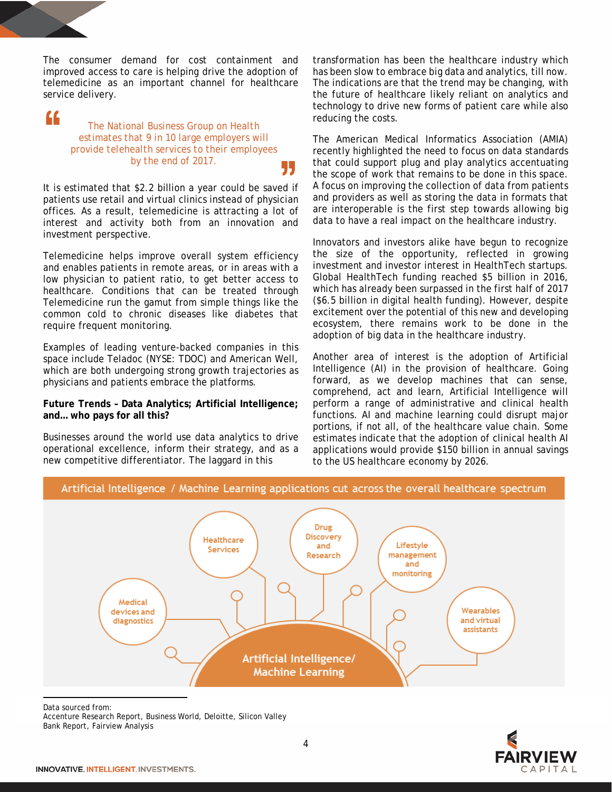The consumer demand for cost containment and improved access to care is helping drive the adoption of telemedicine as an important channel for healthcare service delivery.

# "

### *The National Business Group on Health estimates that 9 in 10 large employers will provide telehealth services to their employees by the end of 2017.* 55

It is estimated that \$2.2 billion a year could be saved if patients use retail and virtual clinics instead of physician offices. As a result, telemedicine is attracting a lot of interest and activity both from an innovation and investment perspective.

Telemedicine helps improve overall system efficiency and enables patients in remote areas, or in areas with a low physician to patient ratio, to get better access to healthcare. Conditions that can be treated through Telemedicine run the gamut from simple things like the common cold to chronic diseases like diabetes that require frequent monitoring.

Examples of leading venture-backed companies in this space include Teladoc (NYSE: TDOC) and American Well, which are both undergoing strong growth trajectories as physicians and patients embrace the platforms.

### **Future Trends – Data Analytics; Artificial Intelligence; and… who pays for all this?[3](#page-3-0)**

Businesses around the world use data analytics to drive operational excellence, inform their strategy, and as a new competitive differentiator. The laggard in this

transformation has been the healthcare industry which has been slow to embrace big data and analytics, till now. The indications are that the trend may be changing, with the future of healthcare likely reliant on analytics and technology to drive new forms of patient care while also reducing the costs.

The American Medical Informatics Association (AMIA) recently highlighted the need to focus on data standards that could support plug and play analytics accentuating the scope of work that remains to be done in this space. A focus on improving the collection of data from patients and providers as well as storing the data in formats that are interoperable is the first step towards allowing big data to have a real impact on the healthcare industry.

Innovators and investors alike have begun to recognize the size of the opportunity, reflected in growing investment and investor interest in HealthTech startups. Global HealthTech funding reached \$5 billion in 2016, which has already been surpassed in the first half of 2017 (\$6.5 billion in digital health funding). However, despite excitement over the potential of this new and developing ecosystem, there remains work to be done in the adoption of big data in the healthcare industry.

Another area of interest is the adoption of Artificial Intelligence (AI) in the provision of healthcare. Going forward, as we develop machines that can sense, comprehend, act and learn, Artificial Intelligence will perform a range of administrative and clinical health functions. AI and machine learning could disrupt major portions, if not all, of the healthcare value chain. Some estimates indicate that the adoption of clinical health AI applications would provide \$150 billion in annual savings to the US healthcare economy by 2026.



Artificial Intelligence / Machine Learning applications cut across the overall healthcare spectrum

 $\overline{a}$ Data sourced from:

<span id="page-3-0"></span>Accenture Research Report, Business World, Deloitte, Silicon Valley Bank Report, Fairview Analysis